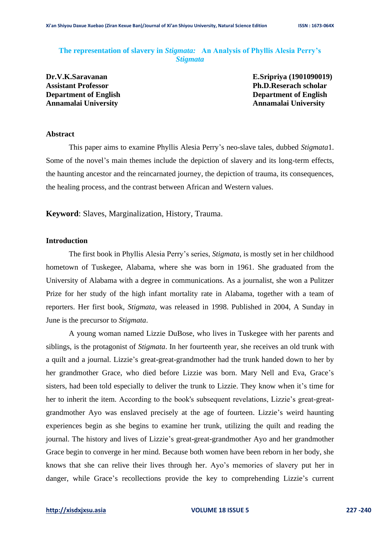**The representation of slavery in** *Stigmata:* **An Analysis of Phyllis Alesia Perry's**  *Stigmata*

**Annamalai University Annamalai University**

**Dr.V.K.Saravanan E.Sripriya (1901090019) Assistant Professor Ph.D.Reserach scholar Department of English Department of English**

## **Abstract**

This paper aims to examine Phyllis Alesia Perry's neo-slave tales, dubbed *Stigmata*1. Some of the novel's main themes include the depiction of slavery and its long-term effects, the haunting ancestor and the reincarnated journey, the depiction of trauma, its consequences, the healing process, and the contrast between African and Western values.

**Keyword**: Slaves, Marginalization, History, Trauma.

## **Introduction**

The first book in Phyllis Alesia Perry's series, *Stigmata*, is mostly set in her childhood hometown of Tuskegee, Alabama, where she was born in 1961. She graduated from the University of Alabama with a degree in communications. As a journalist, she won a Pulitzer Prize for her study of the high infant mortality rate in Alabama, together with a team of reporters. Her first book, *Stigmata*, was released in 1998. Published in 2004, A Sunday in June is the precursor to *Stigmata*.

A young woman named Lizzie DuBose, who lives in Tuskegee with her parents and siblings, is the protagonist of *Stigmata*. In her fourteenth year, she receives an old trunk with a quilt and a journal. Lizzie's great-great-grandmother had the trunk handed down to her by her grandmother Grace, who died before Lizzie was born. Mary Nell and Eva, Grace's sisters, had been told especially to deliver the trunk to Lizzie. They know when it's time for her to inherit the item. According to the book's subsequent revelations, Lizzie's great-greatgrandmother Ayo was enslaved precisely at the age of fourteen. Lizzie's weird haunting experiences begin as she begins to examine her trunk, utilizing the quilt and reading the journal. The history and lives of Lizzie's great-great-grandmother Ayo and her grandmother Grace begin to converge in her mind. Because both women have been reborn in her body, she knows that she can relive their lives through her. Ayo's memories of slavery put her in danger, while Grace's recollections provide the key to comprehending Lizzie's current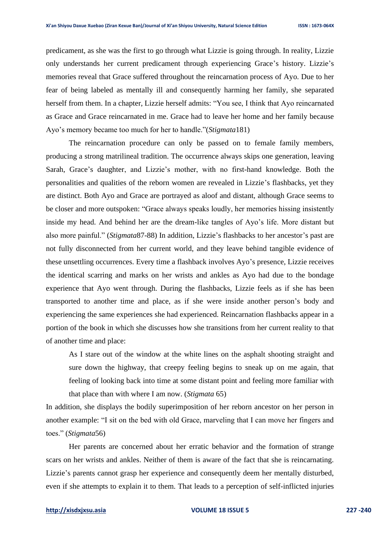predicament, as she was the first to go through what Lizzie is going through. In reality, Lizzie only understands her current predicament through experiencing Grace's history. Lizzie's memories reveal that Grace suffered throughout the reincarnation process of Ayo. Due to her fear of being labeled as mentally ill and consequently harming her family, she separated herself from them. In a chapter, Lizzie herself admits: "You see, I think that Ayo reincarnated as Grace and Grace reincarnated in me. Grace had to leave her home and her family because Ayo's memory became too much for her to handle."(*Stigmata*181)

The reincarnation procedure can only be passed on to female family members, producing a strong matrilineal tradition. The occurrence always skips one generation, leaving Sarah, Grace's daughter, and Lizzie's mother, with no first-hand knowledge. Both the personalities and qualities of the reborn women are revealed in Lizzie's flashbacks, yet they are distinct. Both Ayo and Grace are portrayed as aloof and distant, although Grace seems to be closer and more outspoken: "Grace always speaks loudly, her memories hissing insistently inside my head. And behind her are the dream-like tangles of Ayo's life. More distant but also more painful." (*Stigmata*87-88) In addition, Lizzie's flashbacks to her ancestor's past are not fully disconnected from her current world, and they leave behind tangible evidence of these unsettling occurrences. Every time a flashback involves Ayo's presence, Lizzie receives the identical scarring and marks on her wrists and ankles as Ayo had due to the bondage experience that Ayo went through. During the flashbacks, Lizzie feels as if she has been transported to another time and place, as if she were inside another person's body and experiencing the same experiences she had experienced. Reincarnation flashbacks appear in a portion of the book in which she discusses how she transitions from her current reality to that of another time and place:

As I stare out of the window at the white lines on the asphalt shooting straight and sure down the highway, that creepy feeling begins to sneak up on me again, that feeling of looking back into time at some distant point and feeling more familiar with that place than with where I am now. (*Stigmata* 65)

In addition, she displays the bodily superimposition of her reborn ancestor on her person in another example: "I sit on the bed with old Grace, marveling that I can move her fingers and toes." (*Stigmata*56)

Her parents are concerned about her erratic behavior and the formation of strange scars on her wrists and ankles. Neither of them is aware of the fact that she is reincarnating. Lizzie's parents cannot grasp her experience and consequently deem her mentally disturbed, even if she attempts to explain it to them. That leads to a perception of self-inflicted injuries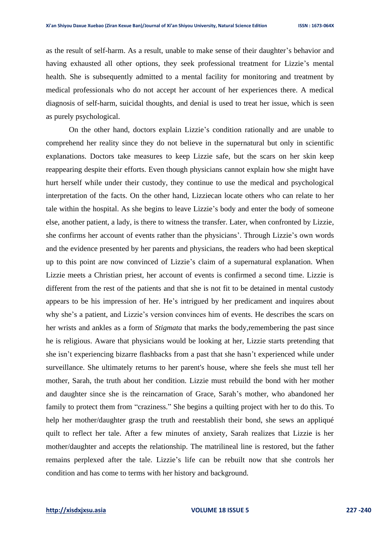as the result of self-harm. As a result, unable to make sense of their daughter's behavior and having exhausted all other options, they seek professional treatment for Lizzie's mental health. She is subsequently admitted to a mental facility for monitoring and treatment by medical professionals who do not accept her account of her experiences there. A medical diagnosis of self-harm, suicidal thoughts, and denial is used to treat her issue, which is seen as purely psychological.

On the other hand, doctors explain Lizzie's condition rationally and are unable to comprehend her reality since they do not believe in the supernatural but only in scientific explanations. Doctors take measures to keep Lizzie safe, but the scars on her skin keep reappearing despite their efforts. Even though physicians cannot explain how she might have hurt herself while under their custody, they continue to use the medical and psychological interpretation of the facts. On the other hand, Lizziecan locate others who can relate to her tale within the hospital. As she begins to leave Lizzie's body and enter the body of someone else, another patient, a lady, is there to witness the transfer. Later, when confronted by Lizzie, she confirms her account of events rather than the physicians'. Through Lizzie's own words and the evidence presented by her parents and physicians, the readers who had been skeptical up to this point are now convinced of Lizzie's claim of a supernatural explanation. When Lizzie meets a Christian priest, her account of events is confirmed a second time. Lizzie is different from the rest of the patients and that she is not fit to be detained in mental custody appears to be his impression of her. He's intrigued by her predicament and inquires about why she's a patient, and Lizzie's version convinces him of events. He describes the scars on her wrists and ankles as a form of *Stigmata* that marks the body, remembering the past since he is religious. Aware that physicians would be looking at her, Lizzie starts pretending that she isn't experiencing bizarre flashbacks from a past that she hasn't experienced while under surveillance. She ultimately returns to her parent's house, where she feels she must tell her mother, Sarah, the truth about her condition. Lizzie must rebuild the bond with her mother and daughter since she is the reincarnation of Grace, Sarah's mother, who abandoned her family to protect them from "craziness." She begins a quilting project with her to do this. To help her mother/daughter grasp the truth and reestablish their bond, she sews an appliqué quilt to reflect her tale. After a few minutes of anxiety, Sarah realizes that Lizzie is her mother/daughter and accepts the relationship. The matrilineal line is restored, but the father remains perplexed after the tale. Lizzie's life can be rebuilt now that she controls her condition and has come to terms with her history and background.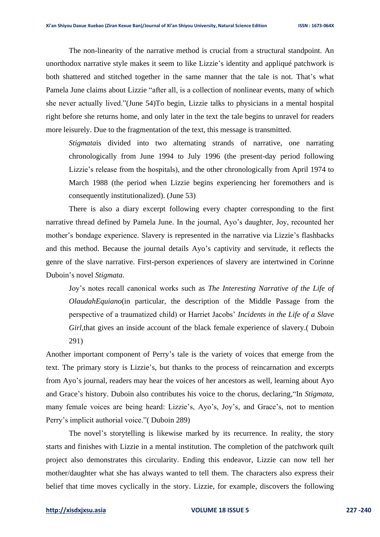The non-linearity of the narrative method is crucial from a structural standpoint. An unorthodox narrative style makes it seem to like Lizzie's identity and appliqué patchwork is both shattered and stitched together in the same manner that the tale is not. That's what Pamela June claims about Lizzie "after all, is a collection of nonlinear events, many of which she never actually lived."(June 54)To begin, Lizzie talks to physicians in a mental hospital right before she returns home, and only later in the text the tale begins to unravel for readers more leisurely. Due to the fragmentation of the text, this message is transmitted.

*Stigmata*is divided into two alternating strands of narrative, one narrating chronologically from June 1994 to July 1996 (the present-day period following Lizzie's release from the hospitals), and the other chronologically from April 1974 to March 1988 (the period when Lizzie begins experiencing her foremothers and is consequently institutionalized). (June 53)

There is also a diary excerpt following every chapter corresponding to the first narrative thread defined by Pamela June. In the journal, Ayo's daughter, Joy, recounted her mother's bondage experience. Slavery is represented in the narrative via Lizzie's flashbacks and this method. Because the journal details Ayo's captivity and servitude, it reflects the genre of the slave narrative. First-person experiences of slavery are intertwined in Corinne Duboin's novel *Stigmata*.

Joy's notes recall canonical works such as *The Interesting Narrative of the Life of OlaudahEquiano*(in particular, the description of the Middle Passage from the perspective of a traumatized child) or Harriet Jacobs' *Incidents in the Life of a Slave Girl,*that gives an inside account of the black female experience of slavery.( Duboin 291)

Another important component of Perry's tale is the variety of voices that emerge from the text. The primary story is Lizzie's, but thanks to the process of reincarnation and excerpts from Ayo's journal, readers may hear the voices of her ancestors as well, learning about Ayo and Grace's history. Duboin also contributes his voice to the chorus, declaring,"In *Stigmata*, many female voices are being heard: Lizzie's, Ayo's, Joy's, and Grace's, not to mention Perry's implicit authorial voice."( Duboin 289)

The novel's storytelling is likewise marked by its recurrence. In reality, the story starts and finishes with Lizzie in a mental institution. The completion of the patchwork quilt project also demonstrates this circularity. Ending this endeavor, Lizzie can now tell her mother/daughter what she has always wanted to tell them. The characters also express their belief that time moves cyclically in the story. Lizzie, for example, discovers the following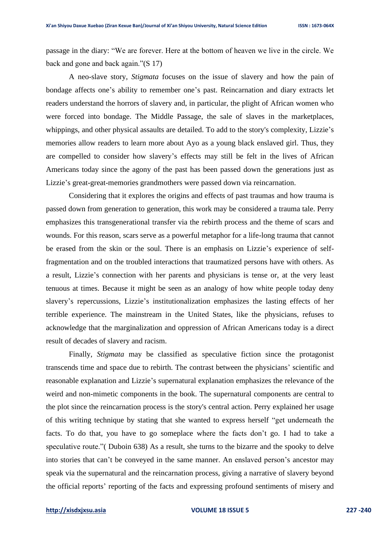passage in the diary: "We are forever. Here at the bottom of heaven we live in the circle. We back and gone and back again."(S 17)

A neo-slave story, *Stigmata* focuses on the issue of slavery and how the pain of bondage affects one's ability to remember one's past. Reincarnation and diary extracts let readers understand the horrors of slavery and, in particular, the plight of African women who were forced into bondage. The Middle Passage, the sale of slaves in the marketplaces, whippings, and other physical assaults are detailed. To add to the story's complexity, Lizzie's memories allow readers to learn more about Ayo as a young black enslaved girl. Thus, they are compelled to consider how slavery's effects may still be felt in the lives of African Americans today since the agony of the past has been passed down the generations just as Lizzie's great-great-memories grandmothers were passed down via reincarnation.

Considering that it explores the origins and effects of past traumas and how trauma is passed down from generation to generation, this work may be considered a trauma tale. Perry emphasizes this transgenerational transfer via the rebirth process and the theme of scars and wounds. For this reason, scars serve as a powerful metaphor for a life-long trauma that cannot be erased from the skin or the soul. There is an emphasis on Lizzie's experience of selffragmentation and on the troubled interactions that traumatized persons have with others. As a result, Lizzie's connection with her parents and physicians is tense or, at the very least tenuous at times. Because it might be seen as an analogy of how white people today deny slavery's repercussions, Lizzie's institutionalization emphasizes the lasting effects of her terrible experience. The mainstream in the United States, like the physicians, refuses to acknowledge that the marginalization and oppression of African Americans today is a direct result of decades of slavery and racism.

Finally, *Stigmata* may be classified as speculative fiction since the protagonist transcends time and space due to rebirth. The contrast between the physicians' scientific and reasonable explanation and Lizzie's supernatural explanation emphasizes the relevance of the weird and non-mimetic components in the book. The supernatural components are central to the plot since the reincarnation process is the story's central action. Perry explained her usage of this writing technique by stating that she wanted to express herself "get underneath the facts. To do that, you have to go someplace where the facts don't go. I had to take a speculative route."( Duboin 638) As a result, she turns to the bizarre and the spooky to delve into stories that can't be conveyed in the same manner. An enslaved person's ancestor may speak via the supernatural and the reincarnation process, giving a narrative of slavery beyond the official reports' reporting of the facts and expressing profound sentiments of misery and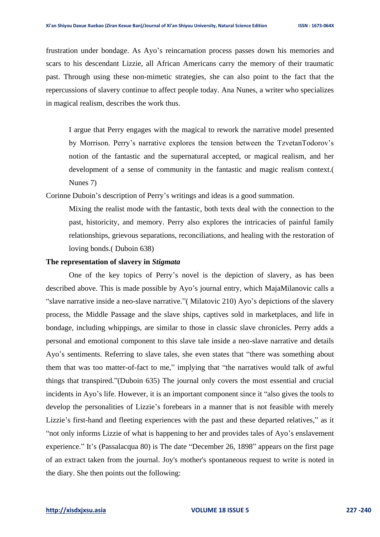frustration under bondage. As Ayo's reincarnation process passes down his memories and scars to his descendant Lizzie, all African Americans carry the memory of their traumatic past. Through using these non-mimetic strategies, she can also point to the fact that the repercussions of slavery continue to affect people today. Ana Nunes, a writer who specializes in magical realism, describes the work thus.

I argue that Perry engages with the magical to rework the narrative model presented by Morrison. Perry's narrative explores the tension between the TzvetanTodorov's notion of the fantastic and the supernatural accepted, or magical realism, and her development of a sense of community in the fantastic and magic realism context.( Nunes 7)

Corinne Duboin's description of Perry's writings and ideas is a good summation.

Mixing the realist mode with the fantastic, both texts deal with the connection to the past, historicity, and memory. Perry also explores the intricacies of painful family relationships, grievous separations, reconciliations, and healing with the restoration of loving bonds.( Duboin 638)

## **The representation of slavery in** *Stigmata*

One of the key topics of Perry's novel is the depiction of slavery, as has been described above. This is made possible by Ayo's journal entry, which MajaMilanovic calls a "slave narrative inside a neo-slave narrative."( Milatovic 210) Ayo's depictions of the slavery process, the Middle Passage and the slave ships, captives sold in marketplaces, and life in bondage, including whippings, are similar to those in classic slave chronicles. Perry adds a personal and emotional component to this slave tale inside a neo-slave narrative and details Ayo's sentiments. Referring to slave tales, she even states that "there was something about them that was too matter-of-fact to me," implying that "the narratives would talk of awful things that transpired."(Duboin 635) The journal only covers the most essential and crucial incidents in Ayo's life. However, it is an important component since it "also gives the tools to develop the personalities of Lizzie's forebears in a manner that is not feasible with merely Lizzie's first-hand and fleeting experiences with the past and these departed relatives," as it "not only informs Lizzie of what is happening to her and provides tales of Ayo's enslavement experience." It's (Passalacqua 80) is The date "December 26, 1898" appears on the first page of an extract taken from the journal. Joy's mother's spontaneous request to write is noted in the diary. She then points out the following: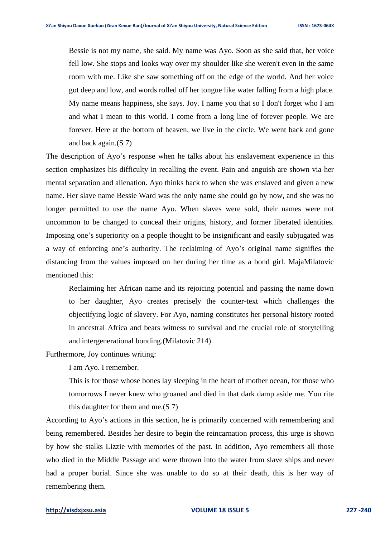Bessie is not my name, she said. My name was Ayo. Soon as she said that, her voice fell low. She stops and looks way over my shoulder like she weren't even in the same room with me. Like she saw something off on the edge of the world. And her voice got deep and low, and words rolled off her tongue like water falling from a high place. My name means happiness, she says. Joy. I name you that so I don't forget who I am and what I mean to this world. I come from a long line of forever people. We are forever. Here at the bottom of heaven, we live in the circle. We went back and gone and back again.(S 7)

The description of Ayo's response when he talks about his enslavement experience in this section emphasizes his difficulty in recalling the event. Pain and anguish are shown via her mental separation and alienation. Ayo thinks back to when she was enslaved and given a new name. Her slave name Bessie Ward was the only name she could go by now, and she was no longer permitted to use the name Ayo. When slaves were sold, their names were not uncommon to be changed to conceal their origins, history, and former liberated identities. Imposing one's superiority on a people thought to be insignificant and easily subjugated was a way of enforcing one's authority. The reclaiming of Ayo's original name signifies the distancing from the values imposed on her during her time as a bond girl. MajaMilatovic mentioned this:

Reclaiming her African name and its rejoicing potential and passing the name down to her daughter, Ayo creates precisely the counter-text which challenges the objectifying logic of slavery. For Ayo, naming constitutes her personal history rooted in ancestral Africa and bears witness to survival and the crucial role of storytelling and intergenerational bonding.(Milatovic 214)

Furthermore, Joy continues writing:

I am Ayo. I remember.

This is for those whose bones lay sleeping in the heart of mother ocean, for those who tomorrows I never knew who groaned and died in that dark damp aside me. You rite this daughter for them and me.(S 7)

According to Ayo's actions in this section, he is primarily concerned with remembering and being remembered. Besides her desire to begin the reincarnation process, this urge is shown by how she stalks Lizzie with memories of the past. In addition, Ayo remembers all those who died in the Middle Passage and were thrown into the water from slave ships and never had a proper burial. Since she was unable to do so at their death, this is her way of remembering them.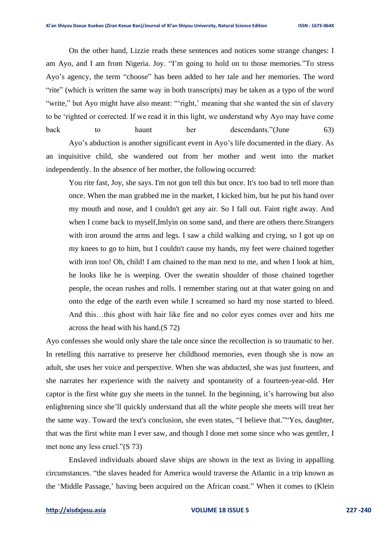On the other hand, Lizzie reads these sentences and notices some strange changes: I am Ayo, and I am from Nigeria. Joy. "I'm going to hold on to those memories."To stress Ayo's agency, the term "choose" has been added to her tale and her memories. The word "rite" (which is written the same way in both transcripts) may be taken as a typo of the word "write," but Ayo might have also meant: ""right,' meaning that she wanted the sin of slavery to be 'righted or corrected. If we read it in this light, we understand why Ayo may have come back to haunt her descendants."(June 63)

Ayo's abduction is another significant event in Ayo's life documented in the diary. As an inquisitive child, she wandered out from her mother and went into the market independently. In the absence of her mother, the following occurred:

You rite fast, Joy, she says. I'm not gon tell this but once. It's too bad to tell more than once. When the man grabbed me in the market, I kicked him, but he put his hand over my mouth and nose, and I couldn't get any air. So I fall out. Faint right away. And when I come back to myself,Imlyin on some sand, and there are others there.Strangers with iron around the arms and legs. I saw a child walking and crying, so I got up on my knees to go to him, but I couldn't cause my hands, my feet were chained together with iron too! Oh, child! I am chained to the man next to me, and when I look at him, he looks like he is weeping. Over the sweatin shoulder of those chained together people, the ocean rushes and rolls. I remember staring out at that water going on and onto the edge of the earth even while I screamed so hard my nose started to bleed. And this…this ghost with hair like fire and no color eyes comes over and hits me across the head with his hand.(S 72)

Ayo confesses she would only share the tale once since the recollection is so traumatic to her. In retelling this narrative to preserve her childhood memories, even though she is now an adult, she uses her voice and perspective. When she was abducted, she was just fourteen, and she narrates her experience with the naivety and spontaneity of a fourteen-year-old. Her captor is the first white guy she meets in the tunnel. In the beginning, it's harrowing but also enlightening since she'll quickly understand that all the white people she meets will treat her the same way. Toward the text's conclusion, she even states, "I believe that.""Yes, daughter, that was the first white man I ever saw, and though I done met some since who was gentler, I met none any less cruel."(S 73)

Enslaved individuals aboard slave ships are shown in the text as living in appalling circumstances. "the slaves headed for America would traverse the Atlantic in a trip known as the 'Middle Passage,' having been acquired on the African coast." When it comes to (Klein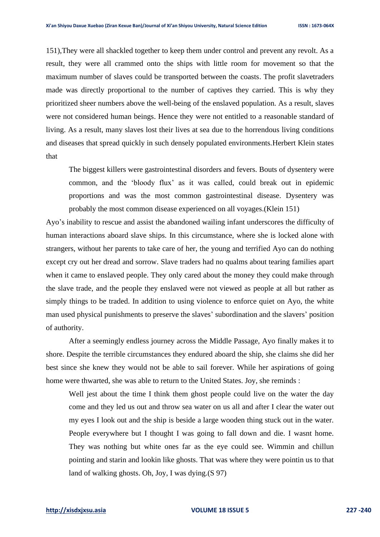151),They were all shackled together to keep them under control and prevent any revolt. As a result, they were all crammed onto the ships with little room for movement so that the maximum number of slaves could be transported between the coasts. The profit slavetraders made was directly proportional to the number of captives they carried. This is why they prioritized sheer numbers above the well-being of the enslaved population. As a result, slaves were not considered human beings. Hence they were not entitled to a reasonable standard of living. As a result, many slaves lost their lives at sea due to the horrendous living conditions and diseases that spread quickly in such densely populated environments.Herbert Klein states that

The biggest killers were gastrointestinal disorders and fevers. Bouts of dysentery were common, and the 'bloody flux' as it was called, could break out in epidemic proportions and was the most common gastrointestinal disease. Dysentery was probably the most common disease experienced on all voyages.(Klein 151)

Ayo's inability to rescue and assist the abandoned wailing infant underscores the difficulty of human interactions aboard slave ships. In this circumstance, where she is locked alone with strangers, without her parents to take care of her, the young and terrified Ayo can do nothing except cry out her dread and sorrow. Slave traders had no qualms about tearing families apart when it came to enslaved people. They only cared about the money they could make through the slave trade, and the people they enslaved were not viewed as people at all but rather as simply things to be traded. In addition to using violence to enforce quiet on Ayo, the white man used physical punishments to preserve the slaves' subordination and the slavers' position of authority.

After a seemingly endless journey across the Middle Passage, Ayo finally makes it to shore. Despite the terrible circumstances they endured aboard the ship, she claims she did her best since she knew they would not be able to sail forever. While her aspirations of going home were thwarted, she was able to return to the United States. Joy, she reminds :

Well jest about the time I think them ghost people could live on the water the day come and they led us out and throw sea water on us all and after I clear the water out my eyes I look out and the ship is beside a large wooden thing stuck out in the water. People everywhere but I thought I was going to fall down and die. I wasnt home. They was nothing but white ones far as the eye could see. Wimmin and chillun pointing and starin and lookin like ghosts. That was where they were pointin us to that land of walking ghosts. Oh, Joy, I was dying.(S 97)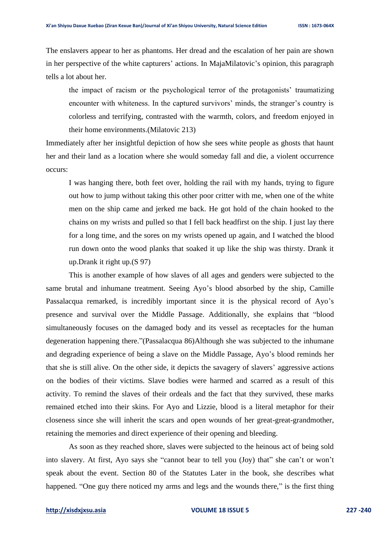The enslavers appear to her as phantoms. Her dread and the escalation of her pain are shown in her perspective of the white capturers' actions. In MajaMilatovic's opinion, this paragraph tells a lot about her.

the impact of racism or the psychological terror of the protagonists' traumatizing encounter with whiteness. In the captured survivors' minds, the stranger's country is colorless and terrifying, contrasted with the warmth, colors, and freedom enjoyed in their home environments.(Milatovic 213)

Immediately after her insightful depiction of how she sees white people as ghosts that haunt her and their land as a location where she would someday fall and die, a violent occurrence occurs:

I was hanging there, both feet over, holding the rail with my hands, trying to figure out how to jump without taking this other poor critter with me, when one of the white men on the ship came and jerked me back. He got hold of the chain hooked to the chains on my wrists and pulled so that I fell back headfirst on the ship. I just lay there for a long time, and the sores on my wrists opened up again, and I watched the blood run down onto the wood planks that soaked it up like the ship was thirsty. Drank it up.Drank it right up.(S 97)

This is another example of how slaves of all ages and genders were subjected to the same brutal and inhumane treatment. Seeing Ayo's blood absorbed by the ship, Camille Passalacqua remarked, is incredibly important since it is the physical record of Ayo's presence and survival over the Middle Passage. Additionally, she explains that "blood simultaneously focuses on the damaged body and its vessel as receptacles for the human degeneration happening there."(Passalacqua 86)Although she was subjected to the inhumane and degrading experience of being a slave on the Middle Passage, Ayo's blood reminds her that she is still alive. On the other side, it depicts the savagery of slavers' aggressive actions on the bodies of their victims. Slave bodies were harmed and scarred as a result of this activity. To remind the slaves of their ordeals and the fact that they survived, these marks remained etched into their skins. For Ayo and Lizzie, blood is a literal metaphor for their closeness since she will inherit the scars and open wounds of her great-great-grandmother, retaining the memories and direct experience of their opening and bleeding.

As soon as they reached shore, slaves were subjected to the heinous act of being sold into slavery. At first, Ayo says she "cannot bear to tell you (Joy) that" she can't or won't speak about the event. Section 80 of the Statutes Later in the book, she describes what happened. "One guy there noticed my arms and legs and the wounds there," is the first thing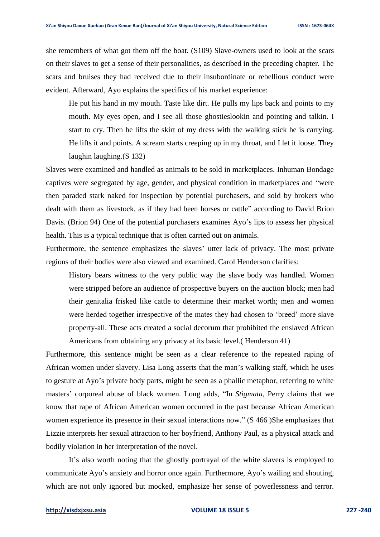she remembers of what got them off the boat. (S109) Slave-owners used to look at the scars on their slaves to get a sense of their personalities, as described in the preceding chapter. The scars and bruises they had received due to their insubordinate or rebellious conduct were evident. Afterward, Ayo explains the specifics of his market experience:

He put his hand in my mouth. Taste like dirt. He pulls my lips back and points to my mouth. My eyes open, and I see all those ghostieslookin and pointing and talkin. I start to cry. Then he lifts the skirt of my dress with the walking stick he is carrying. He lifts it and points. A scream starts creeping up in my throat, and I let it loose. They laughin laughing.(S 132)

Slaves were examined and handled as animals to be sold in marketplaces. Inhuman Bondage captives were segregated by age, gender, and physical condition in marketplaces and "were then paraded stark naked for inspection by potential purchasers, and sold by brokers who dealt with them as livestock, as if they had been horses or cattle" according to David Brion Davis. (Brion 94) One of the potential purchasers examines Ayo's lips to assess her physical health. This is a typical technique that is often carried out on animals.

Furthermore, the sentence emphasizes the slaves' utter lack of privacy. The most private regions of their bodies were also viewed and examined. Carol Henderson clarifies:

History bears witness to the very public way the slave body was handled. Women were stripped before an audience of prospective buyers on the auction block; men had their genitalia frisked like cattle to determine their market worth; men and women were herded together irrespective of the mates they had chosen to 'breed' more slave property-all. These acts created a social decorum that prohibited the enslaved African Americans from obtaining any privacy at its basic level.( Henderson 41)

Furthermore, this sentence might be seen as a clear reference to the repeated raping of African women under slavery. Lisa Long asserts that the man's walking staff, which he uses to gesture at Ayo's private body parts, might be seen as a phallic metaphor, referring to white masters' corporeal abuse of black women. Long adds, "In *Stigmata*, Perry claims that we know that rape of African American women occurred in the past because African American women experience its presence in their sexual interactions now." (S 466 )She emphasizes that Lizzie interprets her sexual attraction to her boyfriend, Anthony Paul, as a physical attack and bodily violation in her interpretation of the novel.

It's also worth noting that the ghostly portrayal of the white slavers is employed to communicate Ayo's anxiety and horror once again. Furthermore, Ayo's wailing and shouting, which are not only ignored but mocked, emphasize her sense of powerlessness and terror.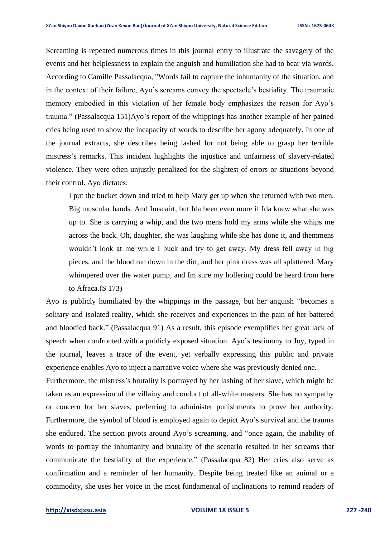Screaming is repeated numerous times in this journal entry to illustrate the savagery of the events and her helplessness to explain the anguish and humiliation she had to bear via words. According to Camille Passalacqua, "Words fail to capture the inhumanity of the situation, and in the context of their failure, Ayo's screams convey the spectacle's bestiality. The traumatic memory embodied in this violation of her female body emphasizes the reason for Ayo's trauma." (Passalacqua 151)Ayo's report of the whippings has another example of her pained cries being used to show the incapacity of words to describe her agony adequately. In one of the journal extracts, she describes being lashed for not being able to grasp her terrible mistress's remarks. This incident highlights the injustice and unfairness of slavery-related violence. They were often unjustly penalized for the slightest of errors or situations beyond their control. Ayo dictates:

I put the bucket down and tried to help Mary get up when she returned with two men. Big muscular hands. And Imscairt, but Ida been even more if Ida knew what she was up to. She is carrying a whip, and the two mens hold my arms while she whips me across the back. Oh, daughter, she was laughing while she has done it, and themmens wouldn't look at me while I buck and try to get away. My dress fell away in big pieces, and the blood ran down in the dirt, and her pink dress was all splattered. Mary whimpered over the water pump, and Im sure my hollering could be heard from here to Afraca.(S 173)

Ayo is publicly humiliated by the whippings in the passage, but her anguish "becomes a solitary and isolated reality, which she receives and experiences in the pain of her battered and bloodied back." (Passalacqua 91) As a result, this episode exemplifies her great lack of speech when confronted with a publicly exposed situation. Ayo's testimony to Joy, typed in the journal, leaves a trace of the event, yet verbally expressing this public and private experience enables Ayo to inject a narrative voice where she was previously denied one.

Furthermore, the mistress's brutality is portrayed by her lashing of her slave, which might be taken as an expression of the villainy and conduct of all-white masters. She has no sympathy or concern for her slaves, preferring to administer punishments to prove her authority. Furthermore, the symbol of blood is employed again to depict Ayo's survival and the trauma she endured. The section pivots around Ayo's screaming, and "once again, the inability of words to portray the inhumanity and brutality of the scenario resulted in her screams that communicate the bestiality of the experience." (Passalacqua 82) Her cries also serve as confirmation and a reminder of her humanity. Despite being treated like an animal or a commodity, she uses her voice in the most fundamental of inclinations to remind readers of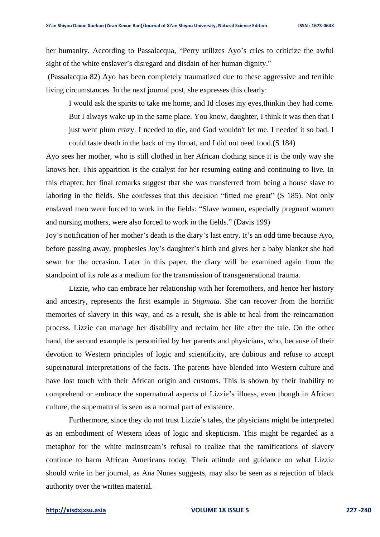her humanity. According to Passalacqua, "Perry utilizes Ayo's cries to criticize the awful sight of the white enslaver's disregard and disdain of her human dignity."

(Passalacqua 82) Ayo has been completely traumatized due to these aggressive and terrible living circumstances. In the next journal post, she expresses this clearly:

I would ask the spirits to take me home, and Id closes my eyes,thinkin they had come. But I always wake up in the same place. You know, daughter, I think it was then that I just went plum crazy. I needed to die, and God wouldn't let me. I needed it so bad. I could taste death in the back of my throat, and I did not need food.(S 184)

Ayo sees her mother, who is still clothed in her African clothing since it is the only way she knows her. This apparition is the catalyst for her resuming eating and continuing to live. In this chapter, her final remarks suggest that she was transferred from being a house slave to laboring in the fields. She confesses that this decision "fitted me great" (S 185). Not only enslaved men were forced to work in the fields: "Slave women, especially pregnant women and nursing mothers, were also forced to work in the fields." (Davis 199)

Joy's notification of her mother's death is the diary's last entry. It's an odd time because Ayo, before passing away, prophesies Joy's daughter's birth and gives her a baby blanket she had sewn for the occasion. Later in this paper, the diary will be examined again from the standpoint of its role as a medium for the transmission of transgenerational trauma.

Lizzie, who can embrace her relationship with her foremothers, and hence her history and ancestry, represents the first example in *Stigmata*. She can recover from the horrific memories of slavery in this way, and as a result, she is able to heal from the reincarnation process. Lizzie can manage her disability and reclaim her life after the tale. On the other hand, the second example is personified by her parents and physicians, who, because of their devotion to Western principles of logic and scientificity, are dubious and refuse to accept supernatural interpretations of the facts. The parents have blended into Western culture and have lost touch with their African origin and customs. This is shown by their inability to comprehend or embrace the supernatural aspects of Lizzie's illness, even though in African culture, the supernatural is seen as a normal part of existence.

Furthermore, since they do not trust Lizzie's tales, the physicians might be interpreted as an embodiment of Western ideas of logic and skepticism. This might be regarded as a metaphor for the white mainstream's refusal to realize that the ramifications of slavery continue to harm African Americans today. Their attitude and guidance on what Lizzie should write in her journal, as Ana Nunes suggests, may also be seen as a rejection of black authority over the written material.